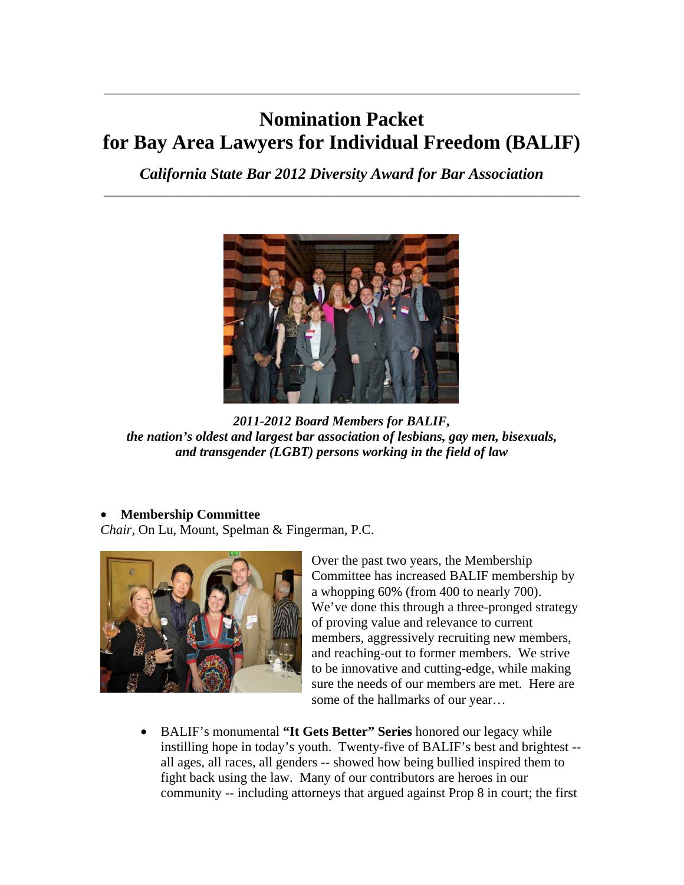# **Nomination Packet for Bay Area Lawyers for Individual Freedom (BALIF)**

\_\_\_\_\_\_\_\_\_\_\_\_\_\_\_\_\_\_\_\_\_\_\_\_\_\_\_\_\_\_\_\_\_\_\_\_\_\_\_\_\_\_\_\_\_\_\_\_\_\_\_\_\_\_\_\_\_\_\_\_\_\_\_\_\_\_\_\_\_\_\_

*California State Bar 2012 Diversity Award for Bar Association* \_\_\_\_\_\_\_\_\_\_\_\_\_\_\_\_\_\_\_\_\_\_\_\_\_\_\_\_\_\_\_\_\_\_\_\_\_\_\_\_\_\_\_\_\_\_\_\_\_\_\_\_\_\_\_\_\_\_\_\_\_\_\_\_\_\_\_\_\_\_\_



*2011-2012 Board Members for BALIF, the nation's oldest and largest bar association of lesbians, gay men, bisexuals, and transgender (LGBT) persons working in the field of law* 

### • **Membership Committee**

*Chair,* On Lu, Mount, Spelman & Fingerman, P.C.



Over the past two years, the Membership Committee has increased BALIF membership by a whopping 60% (from 400 to nearly 700). We've done this through a three-pronged strategy of proving value and relevance to current members, aggressively recruiting new members, and reaching-out to former members. We strive to be innovative and cutting-edge, while making sure the needs of our members are met. Here are some of the hallmarks of our year…

• BALIF's monumental **"It Gets Better" Series** honored our legacy while instilling hope in today's youth. Twenty-five of BALIF's best and brightest - all ages, all races, all genders -- showed how being bullied inspired them to fight back using the law. Many of our contributors are heroes in our community -- including attorneys that argued against Prop 8 in court; the first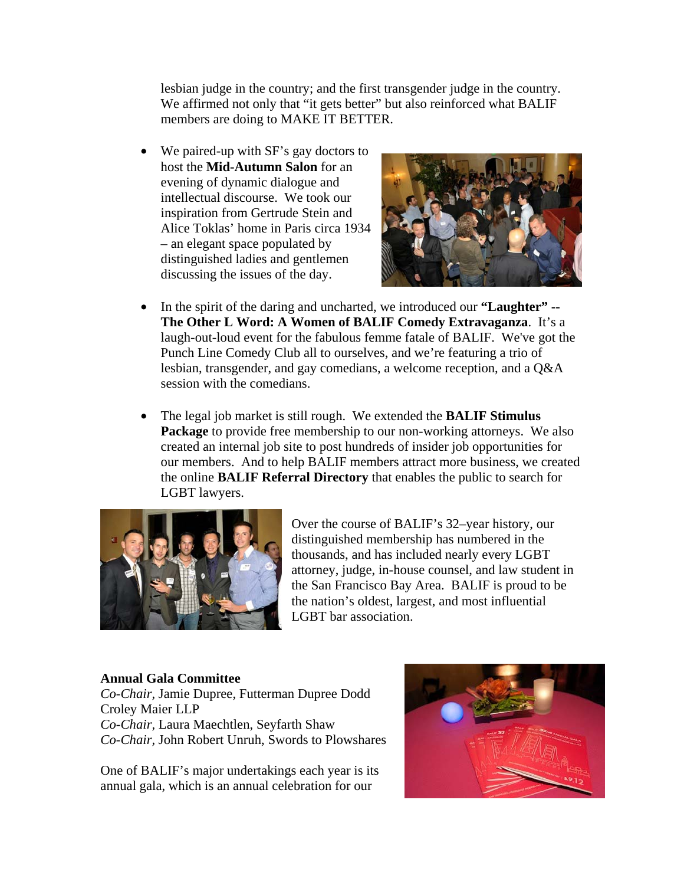lesbian judge in the country; and the first transgender judge in the country. We affirmed not only that "it gets better" but also reinforced what BALIF members are doing to MAKE IT BETTER.

• We paired-up with SF's gay doctors to host the **Mid-Autumn Salon** for an evening of dynamic dialogue and intellectual discourse. We took our inspiration from Gertrude Stein and Alice Toklas' home in Paris circa 1934 – an elegant space populated by distinguished ladies and gentlemen discussing the issues of the day.



- In the spirit of the daring and uncharted, we introduced our **"Laughter" -- The Other L Word: A Women of BALIF Comedy Extravaganza**. It's a laugh-out-loud event for the fabulous femme fatale of BALIF. We've got the Punch Line Comedy Club all to ourselves, and we're featuring a trio of lesbian, transgender, and gay comedians, a welcome reception, and a Q&A session with the comedians.
- The legal job market is still rough. We extended the **BALIF Stimulus Package** to provide free membership to our non-working attorneys. We also created an internal job site to post hundreds of insider job opportunities for our members. And to help BALIF members attract more business, we created the online **BALIF Referral Directory** that enables the public to search for LGBT lawyers.



Over the course of BALIF's 32–year history, our distinguished membership has numbered in the thousands, and has included nearly every LGBT attorney, judge, in-house counsel, and law student in the San Francisco Bay Area. BALIF is proud to be the nation's oldest, largest, and most influential LGBT bar association.

#### **Annual Gala Committee**

*Co-Chair,* Jamie Dupree, Futterman Dupree Dodd Croley Maier LLP *Co-Chair,* Laura Maechtlen, Seyfarth Shaw *Co-Chair,* John Robert Unruh, Swords to Plowshares

One of BALIF's major undertakings each year is its annual gala, which is an annual celebration for our

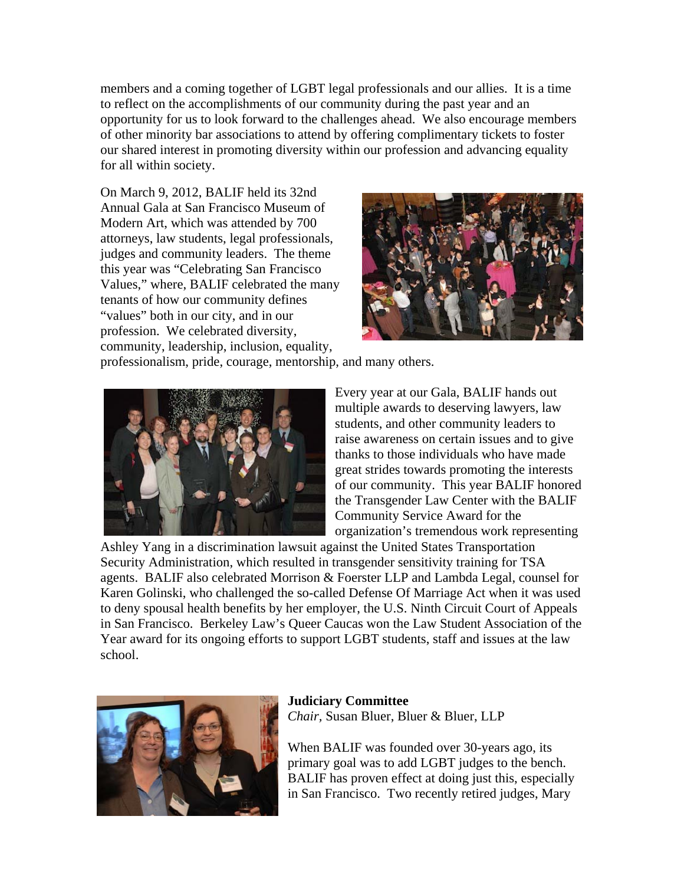members and a coming together of LGBT legal professionals and our allies. It is a time to reflect on the accomplishments of our community during the past year and an opportunity for us to look forward to the challenges ahead. We also encourage members of other minority bar associations to attend by offering complimentary tickets to foster our shared interest in promoting diversity within our profession and advancing equality for all within society.

On March 9, 2012, BALIF held its 32nd Annual Gala at San Francisco Museum of Modern Art, which was attended by 700 attorneys, law students, legal professionals, judges and community leaders. The theme this year was "Celebrating San Francisco Values," where, BALIF celebrated the many tenants of how our community defines "values" both in our city, and in our profession. We celebrated diversity, community, leadership, inclusion, equality,



professionalism, pride, courage, mentorship, and many others.



Every year at our Gala, BALIF hands out multiple awards to deserving lawyers, law students, and other community leaders to raise awareness on certain issues and to give thanks to those individuals who have made great strides towards promoting the interests of our community. This year BALIF honored the Transgender Law Center with the BALIF Community Service Award for the organization's tremendous work representing

Ashley Yang in a discrimination lawsuit against the United States Transportation Security Administration, which resulted in transgender sensitivity training for TSA agents. BALIF also celebrated Morrison & Foerster LLP and Lambda Legal, counsel for Karen Golinski, who challenged the so-called Defense Of Marriage Act when it was used to deny spousal health benefits by her employer, the U.S. Ninth Circuit Court of Appeals in San Francisco. Berkeley Law's Queer Caucas won the Law Student Association of the Year award for its ongoing efforts to support LGBT students, staff and issues at the law school.



**Judiciary Committee**  *Chair,* Susan Bluer, Bluer & Bluer, LLP

When BALIF was founded over 30-years ago, its primary goal was to add LGBT judges to the bench. BALIF has proven effect at doing just this, especially in San Francisco. Two recently retired judges, Mary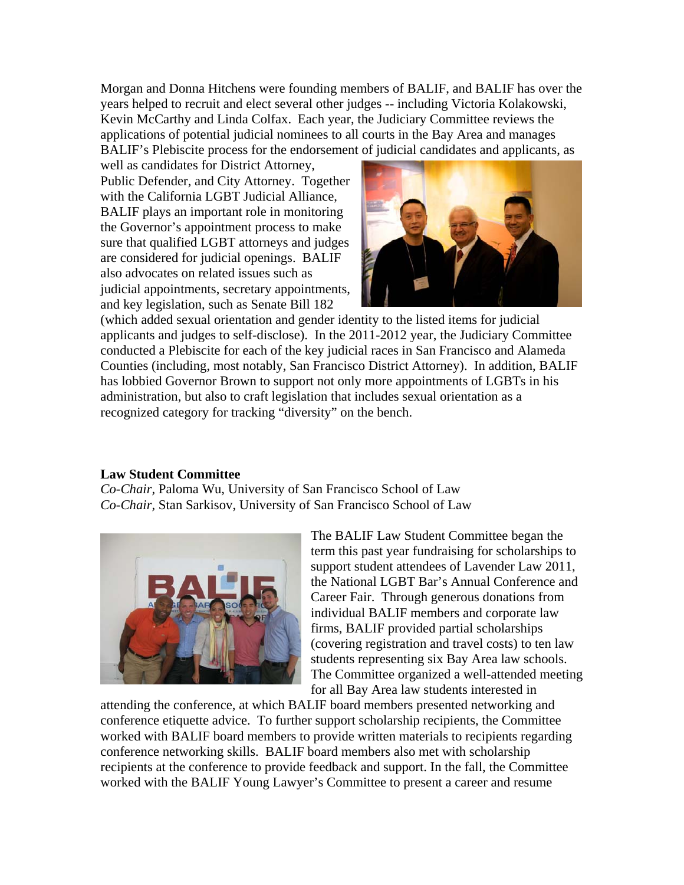Morgan and Donna Hitchens were founding members of BALIF, and BALIF has over the years helped to recruit and elect several other judges -- including Victoria Kolakowski, Kevin McCarthy and Linda Colfax. Each year, the Judiciary Committee reviews the applications of potential judicial nominees to all courts in the Bay Area and manages BALIF's Plebiscite process for the endorsement of judicial candidates and applicants, as

well as candidates for District Attorney, Public Defender, and City Attorney. Together with the California LGBT Judicial Alliance, BALIF plays an important role in monitoring the Governor's appointment process to make sure that qualified LGBT attorneys and judges are considered for judicial openings. BALIF also advocates on related issues such as judicial appointments, secretary appointments, and key legislation, such as Senate Bill 182



(which added sexual orientation and gender identity to the listed items for judicial applicants and judges to self-disclose). In the 2011-2012 year, the Judiciary Committee conducted a Plebiscite for each of the key judicial races in San Francisco and Alameda Counties (including, most notably, San Francisco District Attorney). In addition, BALIF has lobbied Governor Brown to support not only more appointments of LGBTs in his administration, but also to craft legislation that includes sexual orientation as a recognized category for tracking "diversity" on the bench.

### **Law Student Committee**

*Co-Chair,* Paloma Wu, University of San Francisco School of Law *Co-Chair,* Stan Sarkisov, University of San Francisco School of Law



The BALIF Law Student Committee began the term this past year fundraising for scholarships to support student attendees of Lavender Law 2011, the National LGBT Bar's Annual Conference and Career Fair. Through generous donations from individual BALIF members and corporate law firms, BALIF provided partial scholarships (covering registration and travel costs) to ten law students representing six Bay Area law schools. The Committee organized a well-attended meeting for all Bay Area law students interested in

attending the conference, at which BALIF board members presented networking and conference etiquette advice. To further support scholarship recipients, the Committee worked with BALIF board members to provide written materials to recipients regarding conference networking skills. BALIF board members also met with scholarship recipients at the conference to provide feedback and support. In the fall, the Committee worked with the BALIF Young Lawyer's Committee to present a career and resume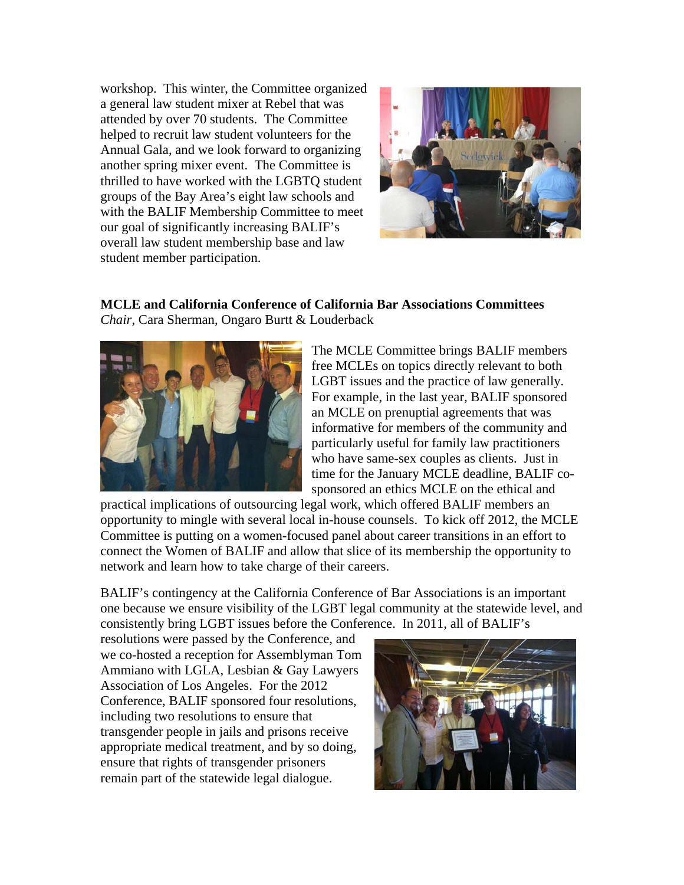workshop. This winter, the Committee organized a general law student mixer at Rebel that was attended by over 70 students. The Committee helped to recruit law student volunteers for the Annual Gala, and we look forward to organizing another spring mixer event. The Committee is thrilled to have worked with the LGBTQ student groups of the Bay Area's eight law schools and with the BALIF Membership Committee to meet our goal of significantly increasing BALIF's overall law student membership base and law student member participation.



## **MCLE and California Conference of California Bar Associations Committees**  *Chair*, Cara Sherman, Ongaro Burtt & Louderback



The MCLE Committee brings BALIF members free MCLEs on topics directly relevant to both LGBT issues and the practice of law generally. For example, in the last year, BALIF sponsored an MCLE on prenuptial agreements that was informative for members of the community and particularly useful for family law practitioners who have same-sex couples as clients. Just in time for the January MCLE deadline, BALIF cosponsored an ethics MCLE on the ethical and

practical implications of outsourcing legal work, which offered BALIF members an opportunity to mingle with several local in-house counsels. To kick off 2012, the MCLE Committee is putting on a women-focused panel about career transitions in an effort to connect the Women of BALIF and allow that slice of its membership the opportunity to network and learn how to take charge of their careers.

BALIF's contingency at the California Conference of Bar Associations is an important one because we ensure visibility of the LGBT legal community at the statewide level, and consistently bring LGBT issues before the Conference. In 2011, all of BALIF's

resolutions were passed by the Conference, and we co-hosted a reception for Assemblyman Tom Ammiano with LGLA, Lesbian & Gay Lawyers Association of Los Angeles. For the 2012 Conference, BALIF sponsored four resolutions, including two resolutions to ensure that transgender people in jails and prisons receive appropriate medical treatment, and by so doing, ensure that rights of transgender prisoners remain part of the statewide legal dialogue.

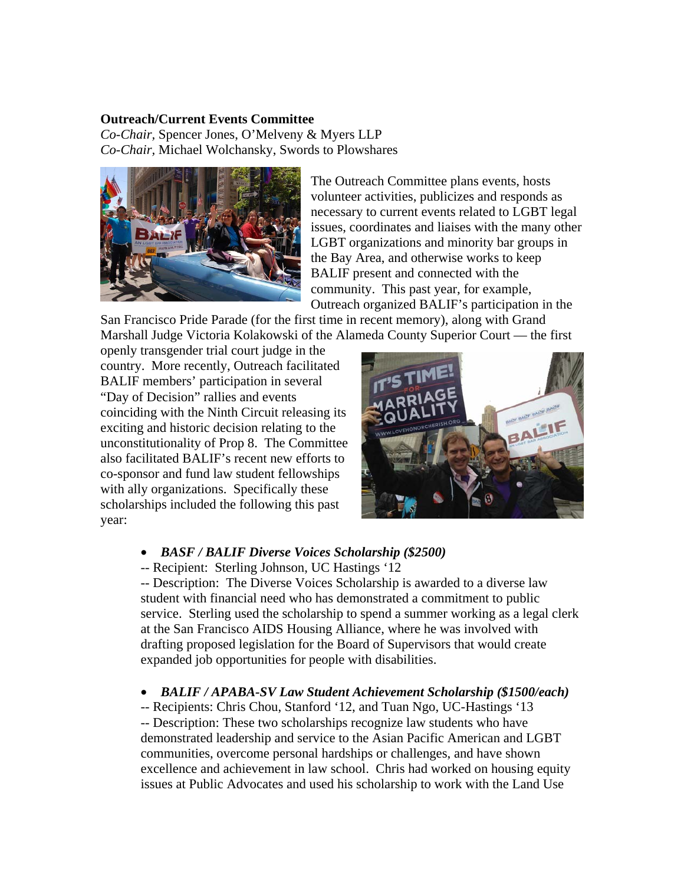#### **Outreach/Current Events Committee**

*Co-Chair,* Spencer Jones, O'Melveny & Myers LLP *Co-Chair,* Michael Wolchansky, Swords to Plowshares



The Outreach Committee plans events, hosts volunteer activities, publicizes and responds as necessary to current events related to LGBT legal issues, coordinates and liaises with the many other LGBT organizations and minority bar groups in the Bay Area, and otherwise works to keep BALIF present and connected with the community. This past year, for example, Outreach organized BALIF's participation in the

San Francisco Pride Parade (for the first time in recent memory), along with Grand Marshall Judge Victoria Kolakowski of the Alameda County Superior Court — the first

openly transgender trial court judge in the country. More recently, Outreach facilitated BALIF members' participation in several "Day of Decision" rallies and events coinciding with the Ninth Circuit releasing its exciting and historic decision relating to the unconstitutionality of Prop 8. The Committee also facilitated BALIF's recent new efforts to co-sponsor and fund law student fellowships with ally organizations. Specifically these scholarships included the following this past year:



#### • *BASF / BALIF Diverse Voices Scholarship (\$2500)*

-- Recipient: Sterling Johnson, UC Hastings '12

-- Description: The Diverse Voices Scholarship is awarded to a diverse law student with financial need who has demonstrated a commitment to public service. Sterling used the scholarship to spend a summer working as a legal clerk at the San Francisco AIDS Housing Alliance, where he was involved with drafting proposed legislation for the Board of Supervisors that would create expanded job opportunities for people with disabilities.

#### • *BALIF / APABA-SV Law Student Achievement Scholarship (\$1500/each)*

-- Recipients: Chris Chou, Stanford '12, and Tuan Ngo, UC-Hastings '13 -- Description: These two scholarships recognize law students who have demonstrated leadership and service to the Asian Pacific American and LGBT communities, overcome personal hardships or challenges, and have shown excellence and achievement in law school. Chris had worked on housing equity issues at Public Advocates and used his scholarship to work with the Land Use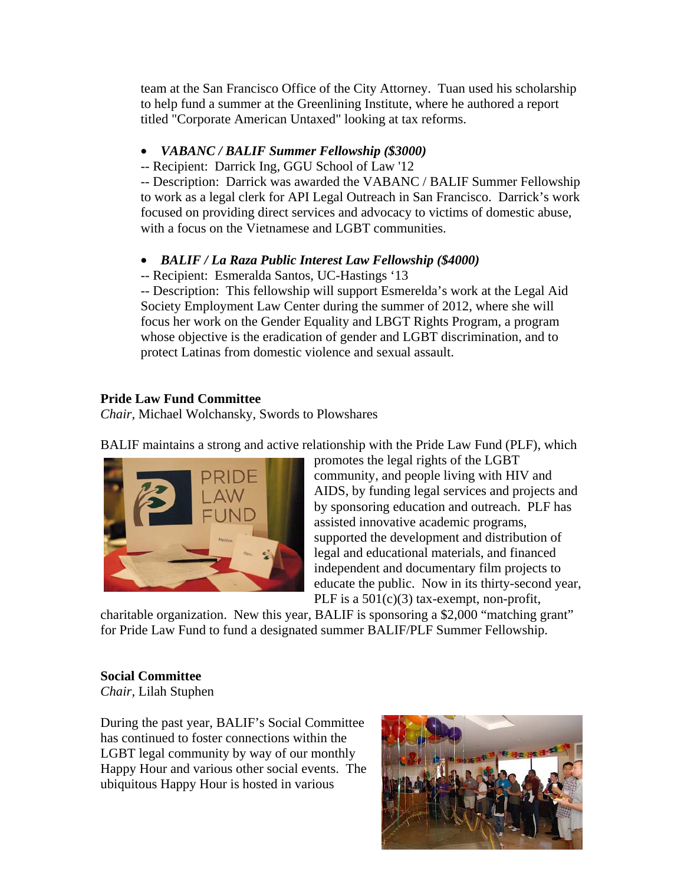team at the San Francisco Office of the City Attorney. Tuan used his scholarship to help fund a summer at the Greenlining Institute, where he authored a report titled "Corporate American Untaxed" looking at tax reforms.

## • *VABANC / BALIF Summer Fellowship (\$3000)*

-- Recipient: Darrick Ing, GGU School of Law '12

-- Description: Darrick was awarded the VABANC / BALIF Summer Fellowship to work as a legal clerk for API Legal Outreach in San Francisco. Darrick's work focused on providing direct services and advocacy to victims of domestic abuse, with a focus on the Vietnamese and LGBT communities.

### • *BALIF / La Raza Public Interest Law Fellowship (\$4000)*

-- Recipient: Esmeralda Santos, UC-Hastings '13

-- Description: This fellowship will support Esmerelda's work at the Legal Aid Society Employment Law Center during the summer of 2012, where she will focus her work on the Gender Equality and LBGT Rights Program, a program whose objective is the eradication of gender and LGBT discrimination, and to protect Latinas from domestic violence and sexual assault.

## **Pride Law Fund Committee**

*Chair,* Michael Wolchansky, Swords to Plowshares

BALIF maintains a strong and active relationship with the Pride Law Fund (PLF), which



promotes the legal rights of the LGBT community, and people living with HIV and AIDS, by funding legal services and projects and by sponsoring education and outreach. PLF has assisted innovative academic programs, supported the development and distribution of legal and educational materials, and financed independent and documentary film projects to educate the public. Now in its thirty-second year, PLF is a  $501(c)(3)$  tax-exempt, non-profit,

charitable organization. New this year, BALIF is sponsoring a \$2,000 "matching grant" for Pride Law Fund to fund a designated summer BALIF/PLF Summer Fellowship.

# **Social Committee**

*Chair,* Lilah Stuphen

During the past year, BALIF's Social Committee has continued to foster connections within the LGBT legal community by way of our monthly Happy Hour and various other social events. The ubiquitous Happy Hour is hosted in various

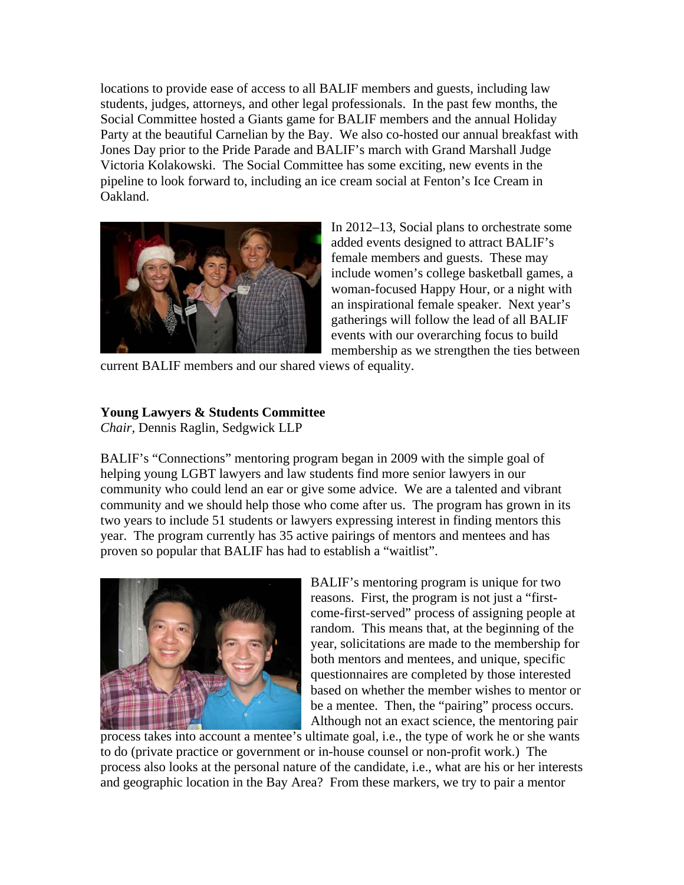locations to provide ease of access to all BALIF members and guests, including law students, judges, attorneys, and other legal professionals. In the past few months, the Social Committee hosted a Giants game for BALIF members and the annual Holiday Party at the beautiful Carnelian by the Bay. We also co-hosted our annual breakfast with Jones Day prior to the Pride Parade and BALIF's march with Grand Marshall Judge Victoria Kolakowski. The Social Committee has some exciting, new events in the pipeline to look forward to, including an ice cream social at Fenton's Ice Cream in Oakland.



In 2012–13, Social plans to orchestrate some added events designed to attract BALIF's female members and guests. These may include women's college basketball games, a woman-focused Happy Hour, or a night with an inspirational female speaker. Next year's gatherings will follow the lead of all BALIF events with our overarching focus to build membership as we strengthen the ties between

current BALIF members and our shared views of equality.

# **Young Lawyers & Students Committee**

*Chair,* Dennis Raglin, Sedgwick LLP

BALIF's "Connections" mentoring program began in 2009 with the simple goal of helping young LGBT lawyers and law students find more senior lawyers in our community who could lend an ear or give some advice. We are a talented and vibrant community and we should help those who come after us. The program has grown in its two years to include 51 students or lawyers expressing interest in finding mentors this year. The program currently has 35 active pairings of mentors and mentees and has proven so popular that BALIF has had to establish a "waitlist".



BALIF's mentoring program is unique for two reasons. First, the program is not just a "firstcome-first-served" process of assigning people at random. This means that, at the beginning of the year, solicitations are made to the membership for both mentors and mentees, and unique, specific questionnaires are completed by those interested based on whether the member wishes to mentor or be a mentee. Then, the "pairing" process occurs. Although not an exact science, the mentoring pair

process takes into account a mentee's ultimate goal, i.e., the type of work he or she wants to do (private practice or government or in-house counsel or non-profit work.) The process also looks at the personal nature of the candidate, i.e., what are his or her interests and geographic location in the Bay Area? From these markers, we try to pair a mentor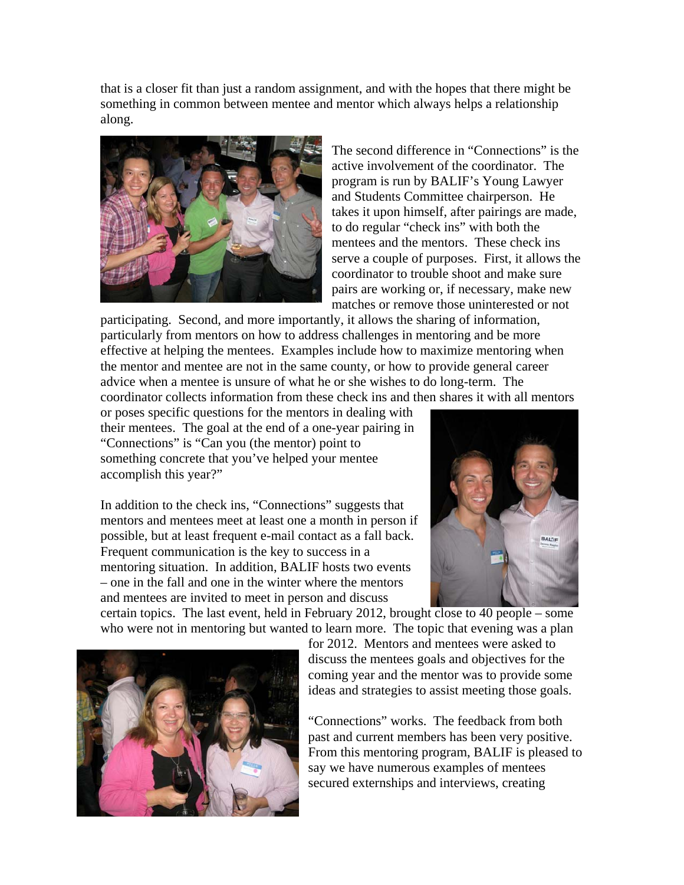that is a closer fit than just a random assignment, and with the hopes that there might be something in common between mentee and mentor which always helps a relationship along.



The second difference in "Connections" is the active involvement of the coordinator. The program is run by BALIF's Young Lawyer and Students Committee chairperson. He takes it upon himself, after pairings are made, to do regular "check ins" with both the mentees and the mentors. These check ins serve a couple of purposes. First, it allows the coordinator to trouble shoot and make sure pairs are working or, if necessary, make new matches or remove those uninterested or not

participating. Second, and more importantly, it allows the sharing of information, particularly from mentors on how to address challenges in mentoring and be more effective at helping the mentees. Examples include how to maximize mentoring when the mentor and mentee are not in the same county, or how to provide general career advice when a mentee is unsure of what he or she wishes to do long-term. The coordinator collects information from these check ins and then shares it with all mentors

or poses specific questions for the mentors in dealing with their mentees. The goal at the end of a one-year pairing in "Connections" is "Can you (the mentor) point to something concrete that you've helped your mentee accomplish this year?"

In addition to the check ins, "Connections" suggests that mentors and mentees meet at least one a month in person if possible, but at least frequent e-mail contact as a fall back. Frequent communication is the key to success in a mentoring situation. In addition, BALIF hosts two events – one in the fall and one in the winter where the mentors and mentees are invited to meet in person and discuss



certain topics. The last event, held in February 2012, brought close to 40 people – some who were not in mentoring but wanted to learn more. The topic that evening was a plan



for 2012. Mentors and mentees were asked to discuss the mentees goals and objectives for the coming year and the mentor was to provide some ideas and strategies to assist meeting those goals.

"Connections" works. The feedback from both past and current members has been very positive. From this mentoring program, BALIF is pleased to say we have numerous examples of mentees secured externships and interviews, creating